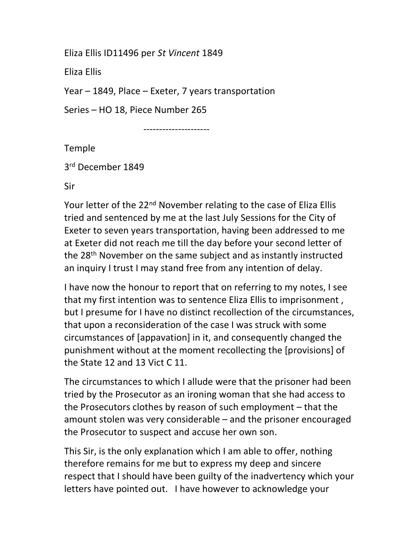Eliza Ellis ID11496 per St Vincent 1849

Eliza Ellis

Year – 1849, Place – Exeter, 7 years transportation

Series – HO 18, Piece Number 265

---------------------

Temple

3 rd December 1849

Sir

Your letter of the 22<sup>nd</sup> November relating to the case of Eliza Ellis tried and sentenced by me at the last July Sessions for the City of Exeter to seven years transportation, having been addressed to me at Exeter did not reach me till the day before your second letter of the 28<sup>th</sup> November on the same subject and as instantly instructed an inquiry I trust I may stand free from any intention of delay.

I have now the honour to report that on referring to my notes, I see that my first intention was to sentence Eliza Ellis to imprisonment , but I presume for I have no distinct recollection of the circumstances, that upon a reconsideration of the case I was struck with some circumstances of [appavation] in it, and consequently changed the punishment without at the moment recollecting the [provisions] of the State 12 and 13 Vict C 11.

The circumstances to which I allude were that the prisoner had been tried by the Prosecutor as an ironing woman that she had access to the Prosecutors clothes by reason of such employment – that the amount stolen was very considerable – and the prisoner encouraged the Prosecutor to suspect and accuse her own son.

This Sir, is the only explanation which I am able to offer, nothing therefore remains for me but to express my deep and sincere respect that I should have been guilty of the inadvertency which your letters have pointed out. I have however to acknowledge your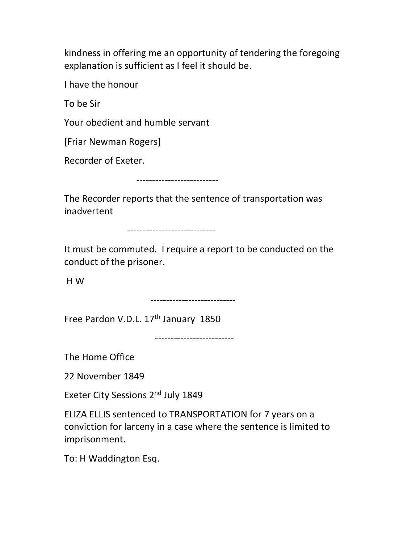kindness in offering me an opportunity of tendering the foregoing explanation is sufficient as I feel it should be.

I have the honour

To be Sir

Your obedient and humble servant

[Friar Newman Rogers]

Recorder of Exeter.

--------------------------

The Recorder reports that the sentence of transportation was inadvertent

----------------------------

It must be commuted. I require a report to be conducted on the conduct of the prisoner.

H W

---------------------------

Free Pardon V.D.L. 17<sup>th</sup> January 1850

-------------------------

The Home Office

22 November 1849

Exeter City Sessions 2<sup>nd</sup> July 1849

ELIZA ELLIS sentenced to TRANSPORTATION for 7 years on a conviction for larceny in a case where the sentence is limited to imprisonment.

To: H Waddington Esq.